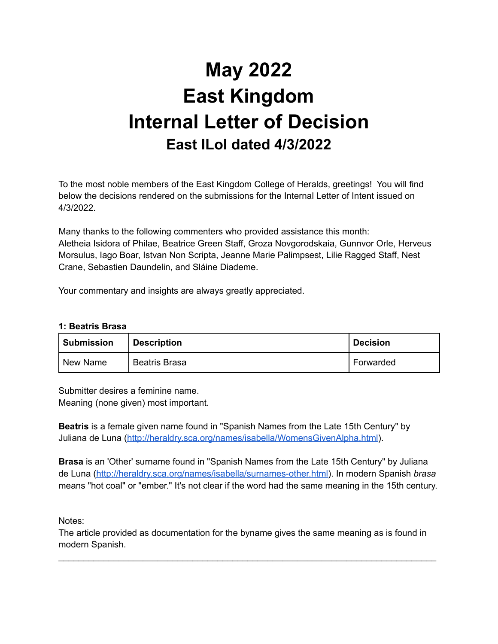# **May 2022 East Kingdom Internal Letter of Decision East ILoI dated 4/3/2022**

To the most noble members of the East Kingdom College of Heralds, greetings! You will find below the decisions rendered on the submissions for the Internal Letter of Intent issued on 4/3/2022.

Many thanks to the following commenters who provided assistance this month: Aletheia Isidora of Philae, Beatrice Green Staff, Groza Novgorodskaia, Gunnvor Orle, Herveus Morsulus, Iago Boar, Istvan Non Scripta, Jeanne Marie Palimpsest, Lilie Ragged Staff, Nest Crane, Sebastien Daundelin, and Sláine Diademe.

Your commentary and insights are always greatly appreciated.

# **1: Beatris Brasa**

| <b>Submission</b> | <b>Description</b>   | <b>Decision</b> |
|-------------------|----------------------|-----------------|
| New Name          | <b>Beatris Brasa</b> | Forwarded       |

Submitter desires a feminine name. Meaning (none given) most important.

**Beatris** is a female given name found in "Spanish Names from the Late 15th Century" by Juliana de Luna [\(http://heraldry.sca.org/names/isabella/WomensGivenAlpha.html](http://heraldry.sca.org/names/isabella/WomensGivenAlpha.html)).

**Brasa** is an 'Other' surname found in "Spanish Names from the Late 15th Century" by Juliana de Luna [\(http://heraldry.sca.org/names/isabella/surnames-other.html\)](http://heraldry.sca.org/names/isabella/surnames-other.html). In modern Spanish *brasa* means "hot coal" or "ember." It's not clear if the word had the same meaning in the 15th century.

Notes:

The article provided as documentation for the byname gives the same meaning as is found in modern Spanish.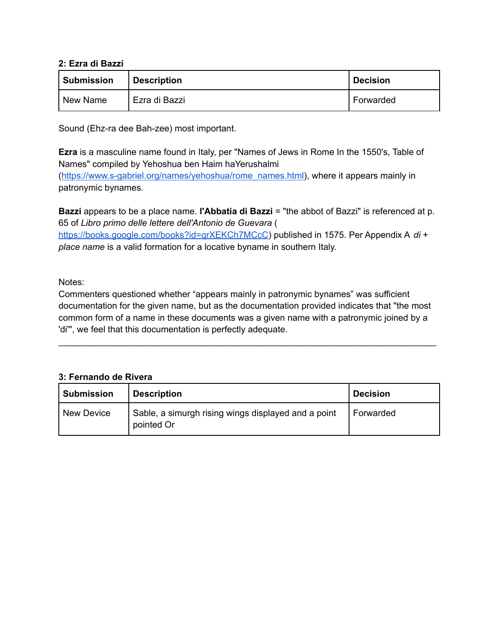# **2: Ezra di Bazzi**

| <b>Submission</b> | <b>Description</b> | <b>Decision</b> |
|-------------------|--------------------|-----------------|
| ' New Name        | Ezra di Bazzi      | l Forwarded     |

Sound (Ehz-ra dee Bah-zee) most important.

**Ezra** is a masculine name found in Italy, per "Names of Jews in Rome In the 1550's, Table of Names" compiled by Yehoshua ben Haim haYerushalmi ([https://www.s-gabriel.org/names/yehoshua/rome\\_names.html\)](https://www.s-gabriel.org/names/yehoshua/rome_names.html), where it appears mainly in patronymic bynames.

**Bazzi** appears to be a place name. **l'Abbatia di Bazzi** = "the abbot of Bazzi" is referenced at p. 65 of *Libro primo delle lettere dell'Antonio de Guevara* (

<https://books.google.com/books?id=qrXEKCh7MCcC>) published in 1575. Per Appendix A *di* + *place name* is a valid formation for a locative byname in southern Italy.

# Notes:

Commenters questioned whether "appears mainly in patronymic bynames" was sufficient documentation for the given name, but as the documentation provided indicates that "the most common form of a name in these documents was a given name with a patronymic joined by a 'di'", we feel that this documentation is perfectly adequate.

\_\_\_\_\_\_\_\_\_\_\_\_\_\_\_\_\_\_\_\_\_\_\_\_\_\_\_\_\_\_\_\_\_\_\_\_\_\_\_\_\_\_\_\_\_\_\_\_\_\_\_\_\_\_\_\_\_\_\_\_\_\_\_\_\_\_\_\_\_\_\_\_\_\_\_\_

# **3: Fernando de Rivera**

| <b>Submission</b> | <b>Description</b>                                                | <b>Decision</b> |
|-------------------|-------------------------------------------------------------------|-----------------|
| New Device        | Sable, a simurgh rising wings displayed and a point<br>pointed Or | Forwarded       |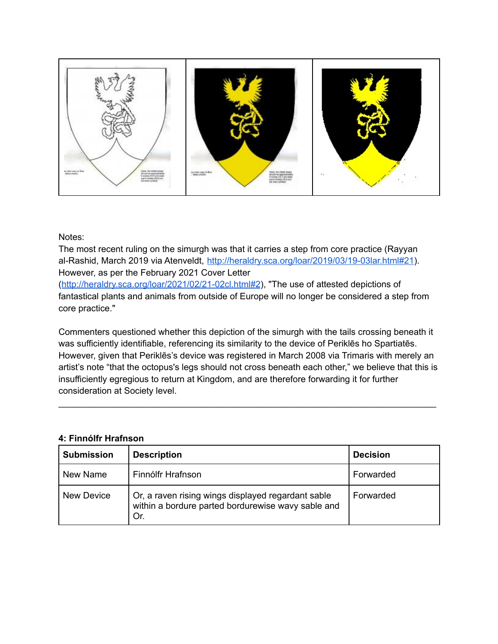

#### Notes:

The most recent ruling on the simurgh was that it carries a step from core practice (Rayyan al-Rashid, March 2019 via Atenveldt, <http://heraldry.sca.org/loar/2019/03/19-03lar.html#21>). However, as per the February 2021 Cover Letter

(<http://heraldry.sca.org/loar/2021/02/21-02cl.html#2>), "The use of attested depictions of fantastical plants and animals from outside of Europe will no longer be considered a step from core practice."

Commenters questioned whether this depiction of the simurgh with the tails crossing beneath it was sufficiently identifiable, referencing its similarity to the device of Periklēs ho Spartiatēs. However, given that Periklēs's device was registered in March 2008 via Trimaris with merely an artist's note "that the octopus's legs should not cross beneath each other," we believe that this is insufficiently egregious to return at Kingdom, and are therefore forwarding it for further consideration at Society level.

\_\_\_\_\_\_\_\_\_\_\_\_\_\_\_\_\_\_\_\_\_\_\_\_\_\_\_\_\_\_\_\_\_\_\_\_\_\_\_\_\_\_\_\_\_\_\_\_\_\_\_\_\_\_\_\_\_\_\_\_\_\_\_\_\_\_\_\_\_\_\_\_\_\_\_\_

#### **4: Finnólfr Hrafnson**

| <b>Submission</b> | <b>Description</b>                                                                                              | <b>Decision</b> |
|-------------------|-----------------------------------------------------------------------------------------------------------------|-----------------|
| New Name          | Finnólfr Hrafnson                                                                                               | Forwarded       |
| New Device        | Or, a raven rising wings displayed regardant sable<br>within a bordure parted bordurewise wavy sable and<br>Or. | Forwarded       |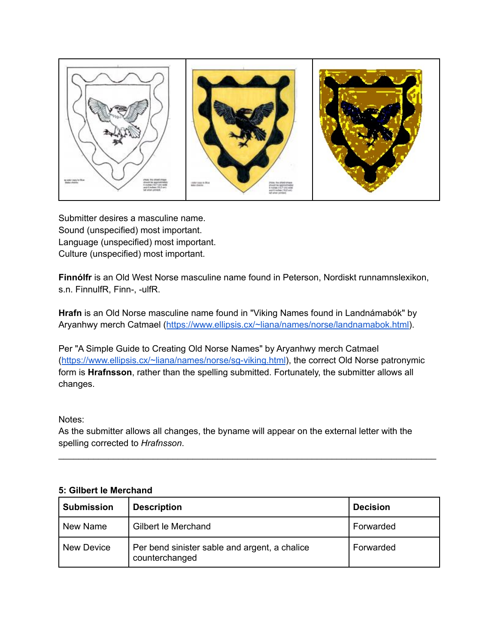

Submitter desires a masculine name. Sound (unspecified) most important. Language (unspecified) most important. Culture (unspecified) most important.

**Finnólfr** is an Old West Norse masculine name found in Peterson, Nordiskt runnamnslexikon, s.n. FinnulfR, Finn-, -ulfR.

**Hrafn** is an Old Norse masculine name found in "Viking Names found in Landnámabók" by Aryanhwy merch Catmael (<https://www.ellipsis.cx/~liana/names/norse/landnamabok.html>).

Per "A Simple Guide to Creating Old Norse Names" by Aryanhwy merch Catmael (<https://www.ellipsis.cx/~liana/names/norse/sg-viking.html>), the correct Old Norse patronymic form is **Hrafnsson**, rather than the spelling submitted. Fortunately, the submitter allows all changes.

# Notes:

As the submitter allows all changes, the byname will appear on the external letter with the spelling corrected to *Hrafnsson*.

\_\_\_\_\_\_\_\_\_\_\_\_\_\_\_\_\_\_\_\_\_\_\_\_\_\_\_\_\_\_\_\_\_\_\_\_\_\_\_\_\_\_\_\_\_\_\_\_\_\_\_\_\_\_\_\_\_\_\_\_\_\_\_\_\_\_\_\_\_\_\_\_\_\_\_\_

# **5: Gilbert le Merchand**

| <b>Submission</b> | <b>Description</b>                                              | <b>Decision</b> |
|-------------------|-----------------------------------------------------------------|-----------------|
| New Name          | Gilbert le Merchand                                             | Forwarded       |
| <b>New Device</b> | Per bend sinister sable and argent, a chalice<br>counterchanged | Forwarded       |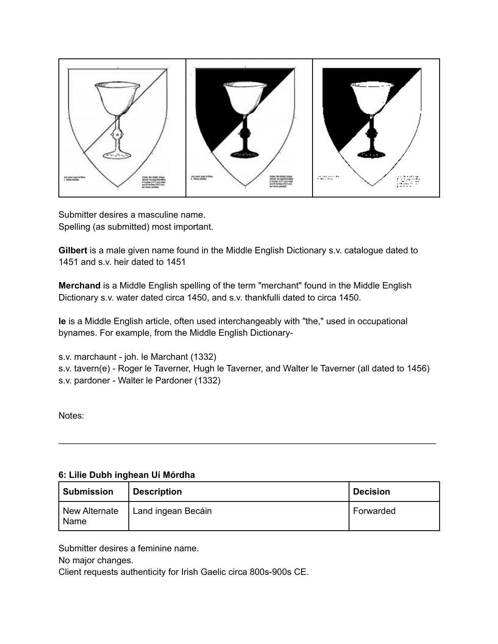

Submitter desires a masculine name. Spelling (as submitted) most important.

**Gilbert** is a male given name found in the Middle English Dictionary s.v. catalogue dated to 1451 and s.v. heir dated to 1451

**Merchand** is a Middle English spelling of the term "merchant" found in the Middle English Dictionary s.v. water dated circa 1450, and s.v. thankfulli dated to circa 1450.

**le** is a Middle English article, often used interchangeably with "the," used in occupational bynames. For example, from the Middle English Dictionary-

s.v. marchaunt - joh. le Marchant (1332)

s.v. tavern(e) - Roger le Taverner, Hugh le Taverner, and Walter le Taverner (all dated to 1456) s.v. pardoner - Walter le Pardoner (1332)

Notes:

# **6: Lilie Dubh inghean Uí Mórdha**

| <b>Submission</b>     | <b>Description</b> | <b>Decision</b> |
|-----------------------|--------------------|-----------------|
| New Alternate<br>Name | Land ingean Becáin | Forwarded       |

\_\_\_\_\_\_\_\_\_\_\_\_\_\_\_\_\_\_\_\_\_\_\_\_\_\_\_\_\_\_\_\_\_\_\_\_\_\_\_\_\_\_\_\_\_\_\_\_\_\_\_\_\_\_\_\_\_\_\_\_\_\_\_\_\_\_\_\_\_\_\_\_\_\_\_\_

Submitter desires a feminine name.

No major changes.

Client requests authenticity for Irish Gaelic circa 800s-900s CE.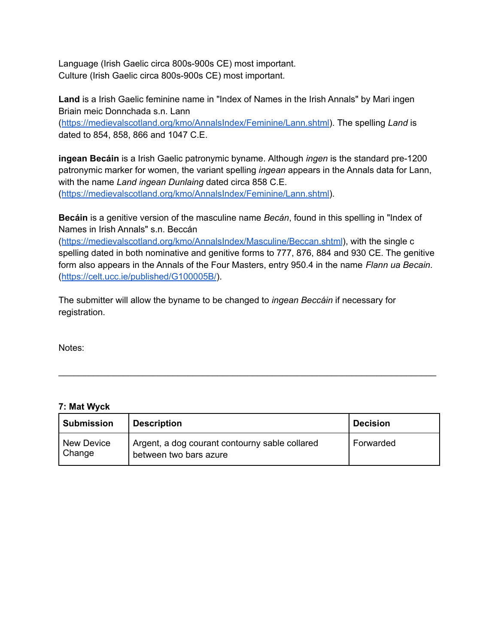Language (Irish Gaelic circa 800s-900s CE) most important. Culture (Irish Gaelic circa 800s-900s CE) most important.

**Land** is a Irish Gaelic feminine name in "Index of Names in the Irish Annals" by Mari ingen Briain meic Donnchada s.n. Lann

([https://medievalscotland.org/kmo/AnnalsIndex/Feminine/Lann.shtml\)](https://medievalscotland.org/kmo/AnnalsIndex/Feminine/Lann.shtml). The spelling *Land* is dated to 854, 858, 866 and 1047 C.E.

**ingean Becáin** is a Irish Gaelic patronymic byname. Although *ingen* is the standard pre-1200 patronymic marker for women, the variant spelling *ingean* appears in the Annals data for Lann, with the name *Land ingean Dunlaing* dated circa 858 C.E. ([https://medievalscotland.org/kmo/AnnalsIndex/Feminine/Lann.shtml\)](https://medievalscotland.org/kmo/AnnalsIndex/Feminine/Lann.shtml).

**Becáin** is a genitive version of the masculine name *Becán*, found in this spelling in "Index of Names in Irish Annals" s.n. Beccán

(<https://medievalscotland.org/kmo/AnnalsIndex/Masculine/Beccan.shtml>), with the single c spelling dated in both nominative and genitive forms to 777, 876, 884 and 930 CE. The genitive form also appears in the Annals of the Four Masters, entry 950.4 in the name *Flann ua Becain*. (<https://celt.ucc.ie/published/G100005B/>).

The submitter will allow the byname to be changed to *ingean Beccáin* if necessary for registration.

Notes:

# **7: Mat Wyck**

| <b>Submission</b>           | <b>Description</b>                                                       | <b>Decision</b> |
|-----------------------------|--------------------------------------------------------------------------|-----------------|
| <b>New Device</b><br>Change | Argent, a dog courant contourny sable collared<br>between two bars azure | Forwarded       |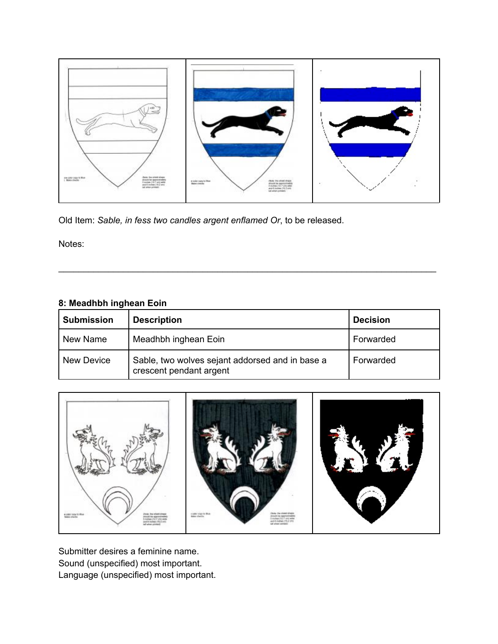

Old Item: *Sable, in fess two candles argent enflamed Or*, to be released.

Notes:

# **8: Meadhbh inghean Eoin**

| <b>Submission</b> | <b>Description</b>                                                         | <b>Decision</b> |
|-------------------|----------------------------------------------------------------------------|-----------------|
| New Name          | Meadhbh inghean Eoin                                                       | Forwarded       |
| New Device        | Sable, two wolves sejant addorsed and in base a<br>crescent pendant argent | Forwarded       |

\_\_\_\_\_\_\_\_\_\_\_\_\_\_\_\_\_\_\_\_\_\_\_\_\_\_\_\_\_\_\_\_\_\_\_\_\_\_\_\_\_\_\_\_\_\_\_\_\_\_\_\_\_\_\_\_\_\_\_\_\_\_\_\_\_\_\_\_\_\_\_\_\_\_\_\_



Submitter desires a feminine name. Sound (unspecified) most important. Language (unspecified) most important.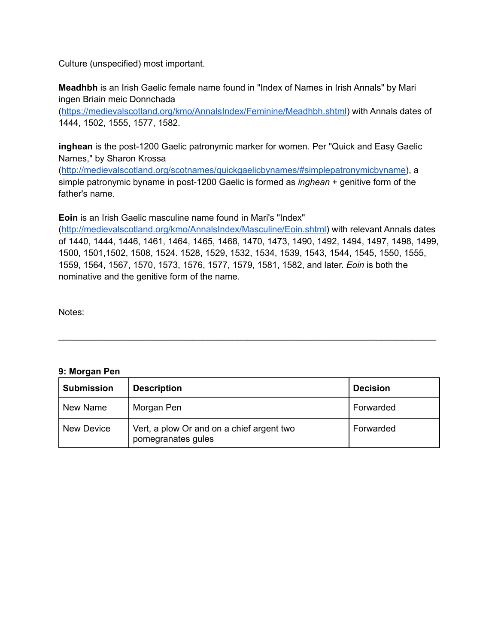Culture (unspecified) most important.

**Meadhbh** is an Irish Gaelic female name found in "Index of Names in Irish Annals" by Mari ingen Briain meic Donnchada

(<https://medievalscotland.org/kmo/AnnalsIndex/Feminine/Meadhbh.shtml>) with Annals dates of 1444, 1502, 1555, 1577, 1582.

**inghean** is the post-1200 Gaelic patronymic marker for women. Per "Quick and Easy Gaelic Names," by Sharon Krossa

(<http://medievalscotland.org/scotnames/quickgaelicbynames/#simplepatronymicbyname>), a simple patronymic byname in post-1200 Gaelic is formed as *inghean* + genitive form of the father's name.

**Eoin** is an Irish Gaelic masculine name found in Mari's "Index"

(<http://medievalscotland.org/kmo/AnnalsIndex/Masculine/Eoin.shtml>) with relevant Annals dates of 1440, 1444, 1446, 1461, 1464, 1465, 1468, 1470, 1473, 1490, 1492, 1494, 1497, 1498, 1499, 1500, 1501,1502, 1508, 1524. 1528, 1529, 1532, 1534, 1539, 1543, 1544, 1545, 1550, 1555, 1559, 1564, 1567, 1570, 1573, 1576, 1577, 1579, 1581, 1582, and later. *Eoin* is both the nominative and the genitive form of the name.

Notes:

# **9: Morgan Pen**

| <b>Submission</b> | <b>Description</b>                                              | <b>Decision</b> |
|-------------------|-----------------------------------------------------------------|-----------------|
| New Name          | Morgan Pen                                                      | Forwarded       |
| New Device        | Vert, a plow Or and on a chief argent two<br>pomegranates gules | Forwarded       |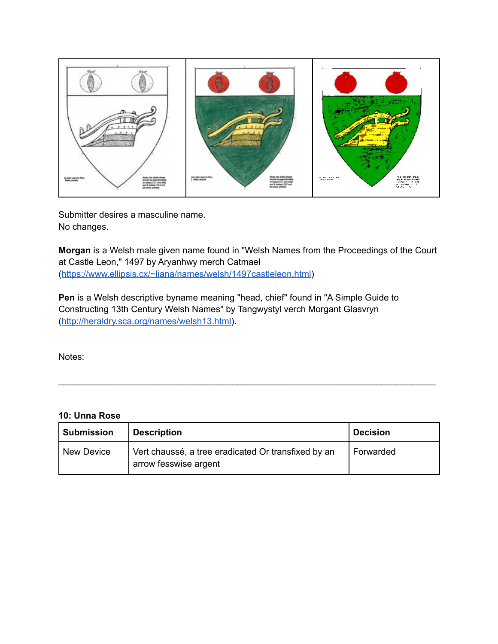

Submitter desires a masculine name. No changes.

**Morgan** is a Welsh male given name found in "Welsh Names from the Proceedings of the Court at Castle Leon," 1497 by Aryanhwy merch Catmael ([https://www.ellipsis.cx/~liana/names/welsh/1497castleleon.html\)](https://www.ellipsis.cx/~liana/names/welsh/1497castleleon.html)

**Pen** is a Welsh descriptive byname meaning "head, chief" found in "A Simple Guide to Constructing 13th Century Welsh Names" by Tangwystyl verch Morgant Glasvryn (<http://heraldry.sca.org/names/welsh13.html>).

Notes:

# **10: Unna Rose**

| <b>Submission</b> | <b>Description</b>                                                           | <b>Decision</b> |
|-------------------|------------------------------------------------------------------------------|-----------------|
| <b>New Device</b> | Vert chaussé, a tree eradicated Or transfixed by an<br>arrow fesswise argent | Forwarded       |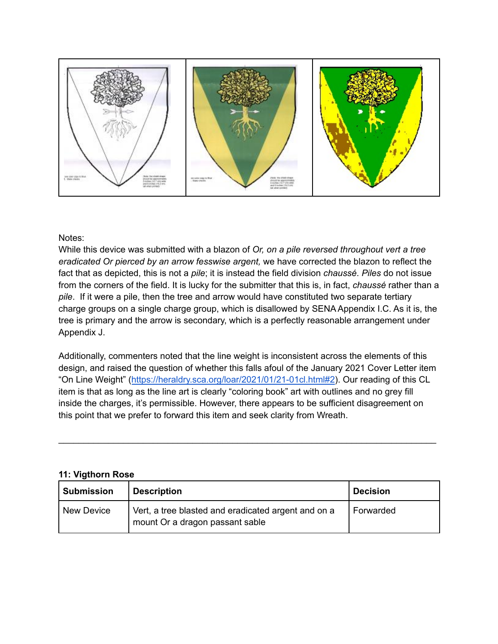

# Notes:

While this device was submitted with a blazon of *Or, on a pile reversed throughout vert a tree eradicated Or pierced by an arrow fesswise argent,* we have corrected the blazon to reflect the fact that as depicted, this is not a *pile*; it is instead the field division *chaussé*. *Piles* do not issue from the corners of the field. It is lucky for the submitter that this is, in fact, *chaussé* rather than a *pile*. If it were a pile, then the tree and arrow would have constituted two separate tertiary charge groups on a single charge group, which is disallowed by SENA Appendix I.C. As it is, the tree is primary and the arrow is secondary, which is a perfectly reasonable arrangement under Appendix J.

Additionally, commenters noted that the line weight is inconsistent across the elements of this design, and raised the question of whether this falls afoul of the January 2021 Cover Letter item "On Line Weight" ([https://heraldry.sca.org/loar/2021/01/21-01cl.html#2\)](https://heraldry.sca.org/loar/2021/01/21-01cl.html#2). Our reading of this CL item is that as long as the line art is clearly "coloring book" art with outlines and no grey fill inside the charges, it's permissible. However, there appears to be sufficient disagreement on this point that we prefer to forward this item and seek clarity from Wreath.

\_\_\_\_\_\_\_\_\_\_\_\_\_\_\_\_\_\_\_\_\_\_\_\_\_\_\_\_\_\_\_\_\_\_\_\_\_\_\_\_\_\_\_\_\_\_\_\_\_\_\_\_\_\_\_\_\_\_\_\_\_\_\_\_\_\_\_\_\_\_\_\_\_\_\_\_

# **11: Vigthorn Rose**

| <b>Submission</b> | <b>Description</b>                                                                     | <b>Decision</b> |
|-------------------|----------------------------------------------------------------------------------------|-----------------|
| <b>New Device</b> | Vert, a tree blasted and eradicated argent and on a<br>mount Or a dragon passant sable | Forwarded       |